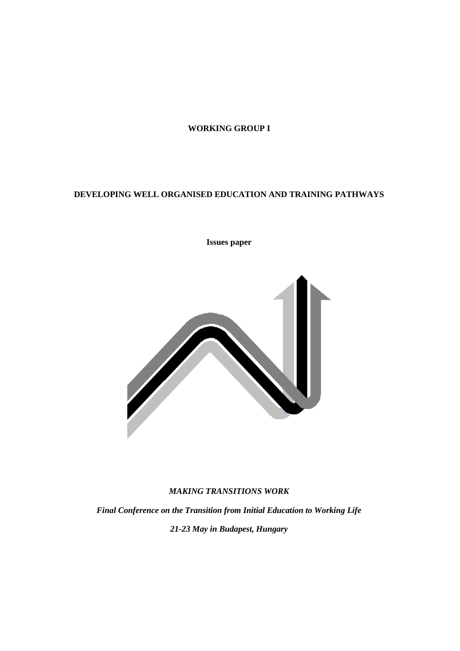## **WORKING GROUP I**

# **DEVELOPING WELL ORGANISED EDUCATION AND TRAINING PATHWAYS**

## **Issues paper**



## *MAKING TRANSITIONS WORK*

*Final Conference on the Transition from Initial Education to Working Life 21-23 May in Budapest, Hungary*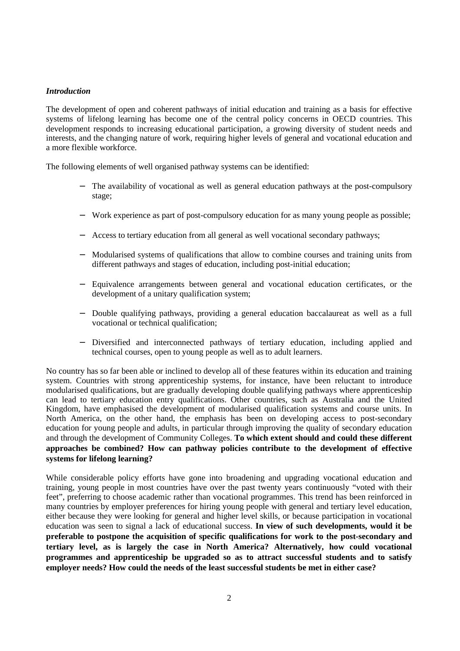### *Introduction*

The development of open and coherent pathways of initial education and training as a basis for effective systems of lifelong learning has become one of the central policy concerns in OECD countries. This development responds to increasing educational participation, a growing diversity of student needs and interests, and the changing nature of work, requiring higher levels of general and vocational education and a more flexible workforce.

The following elements of well organised pathway systems can be identified:

- The availability of vocational as well as general education pathways at the post-compulsory stage;
- Work experience as part of post-compulsory education for as many young people as possible;
- Access to tertiary education from all general as well vocational secondary pathways;
- − Modularised systems of qualifications that allow to combine courses and training units from different pathways and stages of education, including post-initial education;
- − Equivalence arrangements between general and vocational education certificates, or the development of a unitary qualification system;
- − Double qualifying pathways, providing a general education baccalaureat as well as a full vocational or technical qualification;
- − Diversified and interconnected pathways of tertiary education, including applied and technical courses, open to young people as well as to adult learners.

No country has so far been able or inclined to develop all of these features within its education and training system. Countries with strong apprenticeship systems, for instance, have been reluctant to introduce modularised qualifications, but are gradually developing double qualifying pathways where apprenticeship can lead to tertiary education entry qualifications. Other countries, such as Australia and the United Kingdom, have emphasised the development of modularised qualification systems and course units. In North America, on the other hand, the emphasis has been on developing access to post-secondary education for young people and adults, in particular through improving the quality of secondary education and through the development of Community Colleges. **To which extent should and could these different approaches be combined? How can pathway policies contribute to the development of effective systems for lifelong learning?**

While considerable policy efforts have gone into broadening and upgrading vocational education and training, young people in most countries have over the past twenty years continuously "voted with their feet", preferring to choose academic rather than vocational programmes. This trend has been reinforced in many countries by employer preferences for hiring young people with general and tertiary level education, either because they were looking for general and higher level skills, or because participation in vocational education was seen to signal a lack of educational success. **In view of such developments, would it be preferable to postpone the acquisition of specific qualifications for work to the post-secondary and tertiary level, as is largely the case in North America? Alternatively, how could vocational programmes and apprenticeship be upgraded so as to attract successful students and to satisfy employer needs? How could the needs of the least successful students be met in either case?**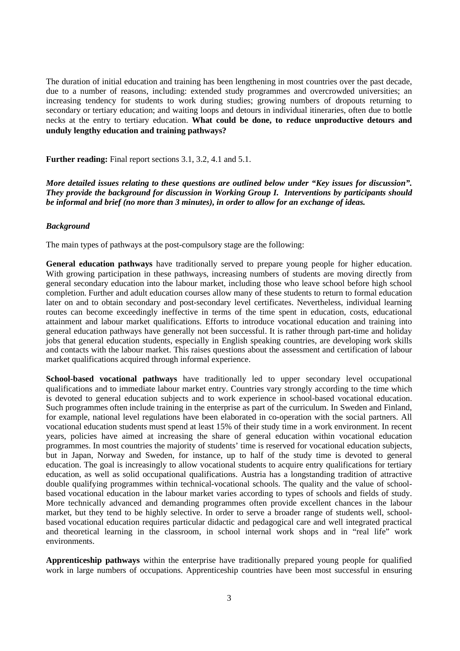The duration of initial education and training has been lengthening in most countries over the past decade, due to a number of reasons, including: extended study programmes and overcrowded universities; an increasing tendency for students to work during studies; growing numbers of dropouts returning to secondary or tertiary education; and waiting loops and detours in individual itineraries, often due to bottle necks at the entry to tertiary education. **What could be done, to reduce unproductive detours and unduly lengthy education and training pathways?**

**Further reading:** Final report sections 3.1, 3.2, 4.1 and 5.1.

*More detailed issues relating to these questions are outlined below under "Key issues for discussion". They provide the background for discussion in Working Group I. Interventions by participants should be informal and brief (no more than 3 minutes), in order to allow for an exchange of ideas.*

#### *Background*

The main types of pathways at the post-compulsory stage are the following:

**General education pathways** have traditionally served to prepare young people for higher education. With growing participation in these pathways, increasing numbers of students are moving directly from general secondary education into the labour market, including those who leave school before high school completion. Further and adult education courses allow many of these students to return to formal education later on and to obtain secondary and post-secondary level certificates. Nevertheless, individual learning routes can become exceedingly ineffective in terms of the time spent in education, costs, educational attainment and labour market qualifications. Efforts to introduce vocational education and training into general education pathways have generally not been successful. It is rather through part-time and holiday jobs that general education students, especially in English speaking countries, are developing work skills and contacts with the labour market. This raises questions about the assessment and certification of labour market qualifications acquired through informal experience.

**School-based vocational pathways** have traditionally led to upper secondary level occupational qualifications and to immediate labour market entry. Countries vary strongly according to the time which is devoted to general education subjects and to work experience in school-based vocational education. Such programmes often include training in the enterprise as part of the curriculum. In Sweden and Finland, for example, national level regulations have been elaborated in co-operation with the social partners. All vocational education students must spend at least 15% of their study time in a work environment. In recent years, policies have aimed at increasing the share of general education within vocational education programmes. In most countries the majority of students' time is reserved for vocational education subjects, but in Japan, Norway and Sweden, for instance, up to half of the study time is devoted to general education. The goal is increasingly to allow vocational students to acquire entry qualifications for tertiary education, as well as solid occupational qualifications. Austria has a longstanding tradition of attractive double qualifying programmes within technical-vocational schools. The quality and the value of schoolbased vocational education in the labour market varies according to types of schools and fields of study. More technically advanced and demanding programmes often provide excellent chances in the labour market, but they tend to be highly selective. In order to serve a broader range of students well, schoolbased vocational education requires particular didactic and pedagogical care and well integrated practical and theoretical learning in the classroom, in school internal work shops and in "real life" work environments.

**Apprenticeship pathways** within the enterprise have traditionally prepared young people for qualified work in large numbers of occupations. Apprenticeship countries have been most successful in ensuring